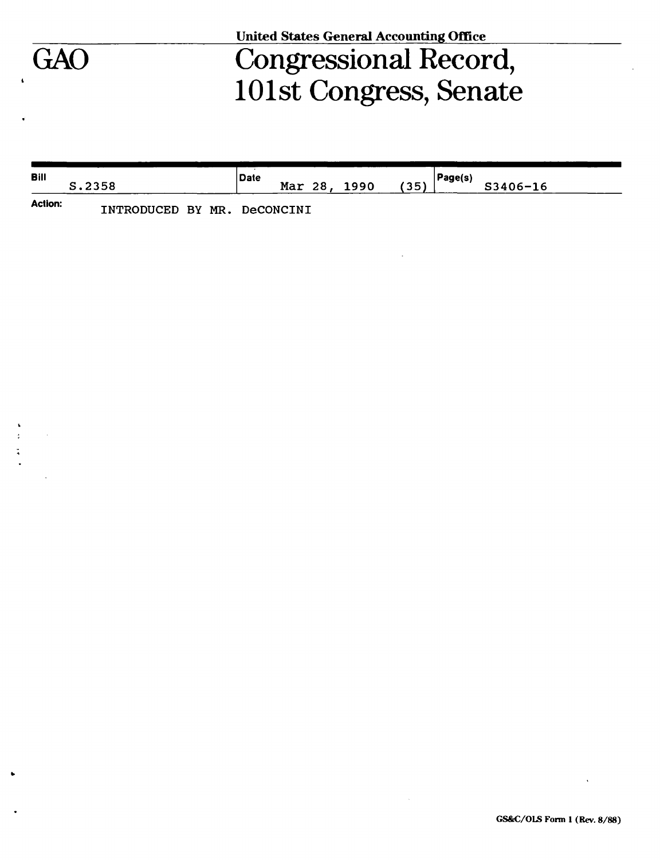# **United States General Accounting Office**

# Congressional Record, 101st Congress, Senate

| <b>Bill</b>    | S.2358                      | .<br><b>Date</b><br>(35)<br>Mar 28, 1990 | Page(s)<br>S3406-16 |
|----------------|-----------------------------|------------------------------------------|---------------------|
| <b>Action:</b> | INTRODUCED BY MR. DeCONCINI |                                          |                     |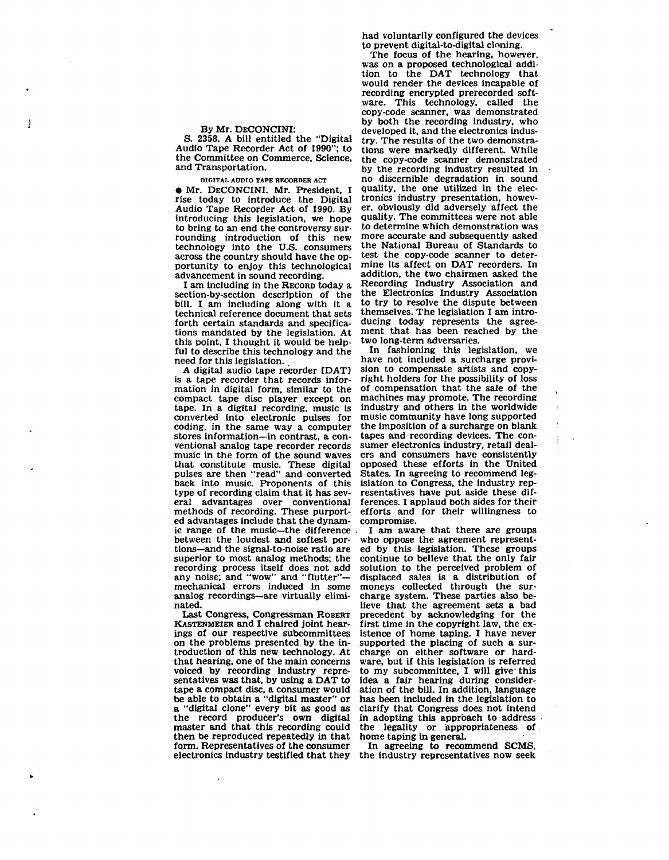# By Mr. DECONCINI:

J

S. 2358. A bill entitled the "Digital Audio Tape Recorder Act of 1990"; to the Committee on Commerce, Science, and Transportation.

**DIGITAL AUDIO TAPE RECORDER ACT** 

• Mr. DECONCINI. Mr. President, I rise today to introduce the Digital Audio Tape Recorder Act of 1990. By introducing this legislation, we hope to bring to an end the controversy surrounding introduction of this new technology into the U.S. consumers across the country should have the opportunity to enjoy this technological advancement in sound recording.

I am including in the RECORD today a section-by-section description of the bill. I am including along with it a technical reference document that sets forth certain standards and specifications mandated by the legislation. At this point, I thought it would be helpful to describe this technology and the need for this legislation.

A digital audio tape recorder [DAT] is a tape recorder that records information in digital form, similar to the compact tape disc player except on tape. In a digital recording, music is converted into electronic pulses for coding, in the same way a computer stores information—in contrast, a conventional analog tape recorder records music in the form of the sound waves that constitute music. These digital pulses are then "read" and converted back into music. Proponents of this type of recording claim that it has several advantages over conventional methods of recording. These purported advantages include that the dynamic range of the music—the difference between the loudest and softest portions—and the slgnal-to-noise ratio are superior to most analog methods; the recording process itself does not add any noise; and "wow" and "flutter" mechanical errors induced in some analog recordings—are virtually eliminated.

Last Congress, Congressman ROBERT KASTENMEIER and I chaired joint hearings of our respective subcommittees on the problems presented by the introduction of this new technology. At that hearing, one of the main concerns voiced by recording industry representatives was that, by using a DAT to tape a compact disc, a consumer would be able to obtain a "digital master" or a "digital clone" every bit as good as the record producer's own digital master and that this recording could then be reproduced repeatedly in that form. Representatives of the consumer electronics industry testified that they

had voluntarily configured the devices to prevent digital-to-digital cloning.

The focus of the hearing, however, was on a proposed technological addition to the DAT technology that would render the devices incapable of recording encrypted prerecorded software. This technology, called the copy-code scanner, was demonstrated by both the recording industry, who developed it, and the electronics industry. The results of the two demonstrations were markedly different. While the copy-code scanner demonstrated by the recording industry resulted in no discernible degradation in sound quality, the one utilized in the electronics industry presentation, however, obviously did adversely affect the quality. The committees were not able to determine which demonstration was more accurate and subsequently asked the National Bureau of Standards to test the copy-code scanner to determine its affect on DAT recorders. In mine its affect on DAT recorders. In addition, the two chairmen asked the<br>Recording Industry Association and Recording Industry Association and the Electronics Industry Association to try to resolve the dispute between themselves. The legislation I am introducing today represents the agreement that has been reached by the two long-term adversaries.

In fashioning this legislation, we have not included a surcharge provision to compensate artists and copyright holders for the possibility of loss of compensation that the sale of the machines may promote. The recording industry and others in the worldwide music community have long supported the imposition of a surcharge on blank tapes and recording devices. The consumer electronics industry, retail dealers and consumers have consistently opposed these efforts in the United States. In agreeing to recommend legislation to Congress, the industry representatives have put aside these differences. I applaud both sides for their efforts and for their willingness to compromise.

I am aware that there are groups who oppose the agreement represented by this legislation. These groups continue to believe that the only fair solution to the perceived problem of displaced sales is a distribution of moneys collected through the surcharge system. These parties also believe that the agreement sets a bad precedent by acknowledging for the first time in the copyright law, the existence of home taping. I have never supported the placing of such a surcharge on either software or hardware, but if this legislation is referred to my subcommittee, I will give this idea a fair hearing during consideration of the bill. In addition, language has been included in the legislation to clarify that Congress does not intend in adopting this approach to address the legality or appropriateness of home taping in general.

In agreeing to recommend SCMS, the industry representatives now seek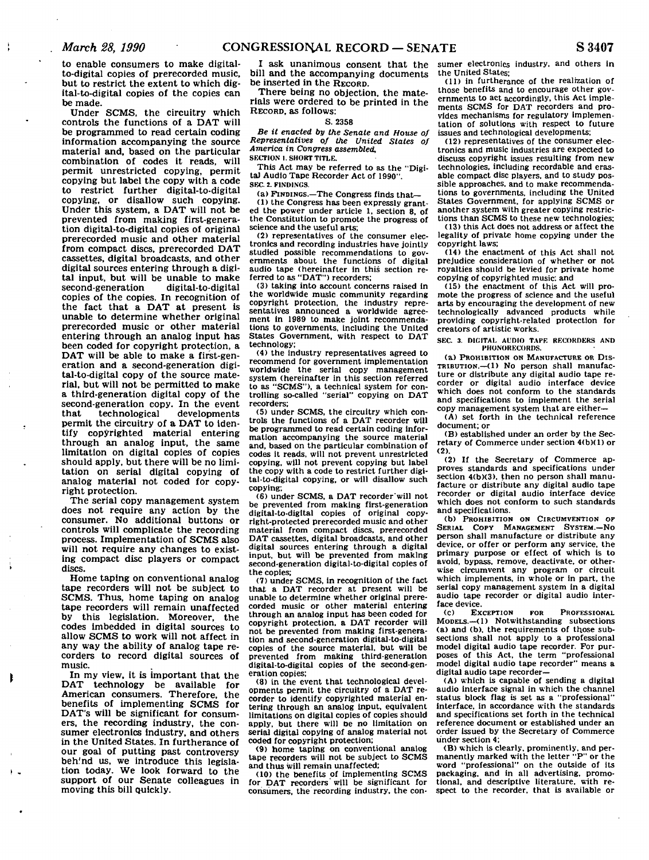÷

to enable consumers to make digitalto-digital copies of prerecorded music, but to restrict the extent to which digital-to-digital copies of the copies can be made.

Under SCMS, the circuitry which controls the functions of a DAT will be programmed to read certain coding information accompanying the source material and, based on the particular combination of codes it reads, will permit unrestricted copying, permit copying but label the copy with a code to restrict further digital-to-digital copying, or disallow such copying. Under this system, a DAT will not be prevented from making first-generation digital-to-digital copies of original prerecorded music and other material from compact discs, prerecorded DAT cassettes, digital broadcasts, and other digital sources entering through a digital input, but will be unable to make<br>second-generation digital-to-digital second-generation copies of the copies. In recognition of the fact that a DAT at present is unable to determine whether original prerecorded music or other material entering through an analog input has been coded for copyright protection, a DAT will be able to make a first-generation and a second-generation digital-to-digital copy of the source material, but will not be permitted to make a third-generation digital copy of the second-generation copy. In the event that technological developments permit the circuitry of a DAT to identify copyrighted material entering through an analog input, the same limitation on digital copies of copies should apply, but there will be no limitation on serial digital copying of analog material not coded for copyright protection.

The serial copy management system does not require any action by the consumer. No additional buttons or controls will complicate the recording process. Implementation of SCMS also will not require any changes to existing compact disc players or compact discs.

Home taping on conventional analog tape recorders will not be subject to SCMS. Thus, home taping on analog tape recorders will remain unaffected by this legislation. Moreover, the codes imbedded in digital sources to allow SCMS to work will not affect in any way the ability of analog tape recorders to record digital sources of music.

In my view, it is important that the DAT technology be available for American consumers. Therefore, the benefits of implementing SCMS for DAT's will be significant for consumers, the recording industry, the consumer electronics industry, and others in the United States. In furtherance of our goal of putting past controversy beh'nd us, we introduce this legislation today. We look forward to the support of our Senate colleagues in moving this bill quickly.

I ask unanimous consent that the bill and the accompanying documents be inserted in the RECORD.

There being no objection, the materials were ordered to be printed in the RECORD, as follows:

### **S. 2358**

*Be it enacted by the Senate and House of Representatives of the United States of America in Congress assembled,*  **SECTION I. SHORT TITLE.** 

**This Act may be referred to as the "Digital Audio Tape Recorder Act of 1990". SEC. 2. FINDINGS.** 

**(a) FINDINGS.—The Congress finds that—** 

**(1) the Congress has been expressly granted the power under article 1, section 8, of the Constitution to promote the progress of science and the useful arts;** 

**(2) representatives of the consumer electronics and recording industries have jointly studied possible recommendations to governments about the functions of digital audio tape (hereinafter in this section referred to as "DAT") recorders;** 

**(3) taking into account concerns raised in the worldwide music community regarding copyright protection, the industry representatives announced a worldwide agree-ment In 1989 to make joint recommendations to governments, including the United States Government, with respect to DAT technology;** 

**(4) the industry representatives agreed to recommend for government implementation worldwide the serial copy management system (hereinafter in this section referred to as "SCMS"), a technical system for controlling so-called "serial" copying on DAT recorders;** 

**(5) under SCMS, the circuitry which controls the functions of a DAT recorder will be programmed to read certain coding information accompanying the source material and, based on the particular combination of codes it reads, will not prevent unrestricted copying, will not prevent copying but label the copy with a code to restrict further digital-to-digital copying, or will disallow such copying;** 

**(6) under SCMS, a DAT recorder'will not be prevented from making first-generation digital-to-digltal copies of original copyright-protected prerecorded music and other material from compact discs, prerecorded DAT cassettes, digital broadcasts, and other digital sources entering through a digital input, but will be prevented from making second-generation digital-to-digital copies of the copies;** 

**(7) under SCMS, in recognition of the fact that a DAT recorder at present will be unable to determine whether original prerecorded music or other material entering through an analog input has been coded for copyright protection, a DAT recorder will not be prevented from making first-generation and second-generation digital-to-digital copies of the source material, but will be prevented from making third-generation digital-to-digital copies of the second-generation copies;** 

**(8) in the event that technological developments permit the circuitry of a DAT recorder to identify copyrighted material entering through an analog input, equivalent limitations on digital copies of copies should apply, but there will be no limitation on serial digital copying of analog material not coded for copyright protection;** 

**(9) home taping on conventional analog tape recorders will not be subject to SCMS and thus will remain unaffected;** 

**(10) the benefits of implementing SCMS for DAT recorders' will be significant for consumers, the recording industry, the con-** **sumer electronics industry, and others in the United States;** 

**(11) in furtherance of the realization of those benefits and to encourage other governments to act accordingly, this Act implements SCMS for DAT recorders and provides mechanisms for regulatory implementation of solutions with respect to future issues and technological developments;** 

**(12) representatives of the consumer electronics and music industries are expected to discuss copyright issues resulting from new technologies, including recordable and erasable compact disc players, and to study possible approaches, and to make recommendations to governments, including the United States Government, for applying SCMS or another system with greater copying restrictions than SCMS to these new technologies:** 

**(13) this Act does not address or affect the legality of private home copying under the copyright laws;** 

**(14) the enactment of this Act shall not prejudice consideration of whether or not royalties should be levied for private home copying of copyrighted music", and** 

**(15) the enactment of this Act will promote the progress of science and the useful arts by encouraging the development of new technologically advanced products while providing copyright-related protection for creators of artistic works.** 

**SEC. 3. DIGITAL AUDIO TAPE RECORDERS AND PHONORECORDS.** 

**(a) PROHIBITION ON MANUFACTURE OR DIS-TRIBUTION.—(1) No person shall manufacture or distribute any digital audio tape recorder or digital audio interface device which does not conform to the standards and specifications to implement the serial copy management system that are either—** 

**(A) set forth in the technical reference document; or** 

**(B) established under an order by the Secretary of Commerce under section 4(b)(1) or (2).** 

**(2) If the Secretary of Commerce approves standards and specifications under section 4(b)(3), then no person shall manufacture or distribute any digital audio tape recorder or digital audio interface device which does not conform to such standards and specifications.** 

**(b) PROHIBITION ON CIRCUMVENTION OF SERIAL COPY MANAGEMENT SYSTEM.—NO person shall manufacture or distribute any device, or offer or perform any service, the primary purpose or effect of which is to avoid, bypass, remove, deactivate, or otherwise circumvent any program or circuit which implements, in whole or in part, the serial copy management system in a digital audio tape recorder or digital audio interface device.** 

**(c) EXCEPTION FOR PROFESSIONAL MODELS.—(1) Notwithstanding subsections (a) and (b), the requirements of those subsections shall not apply to a professional model digital audio tape recorder. For purposes of this Act, the term "professional model digital audio tape recorder" means a digital audio tape recorder—** 

**(A) which is capable of sending a digital audio Interface signal in which the channel status block flag is set as a "professional" interface, in accordance with the standards and specifications set forth in the technical reference document or established under an order issued by the Secretary of Commerce under section 4;** 

**(B) which is clearly, prominently, and per-manently marked with the letter "P" or the word "professional" on the outside of its packaging, and in all advertising, promotional, and descriptive literature, with respect to the recorder, that is available or**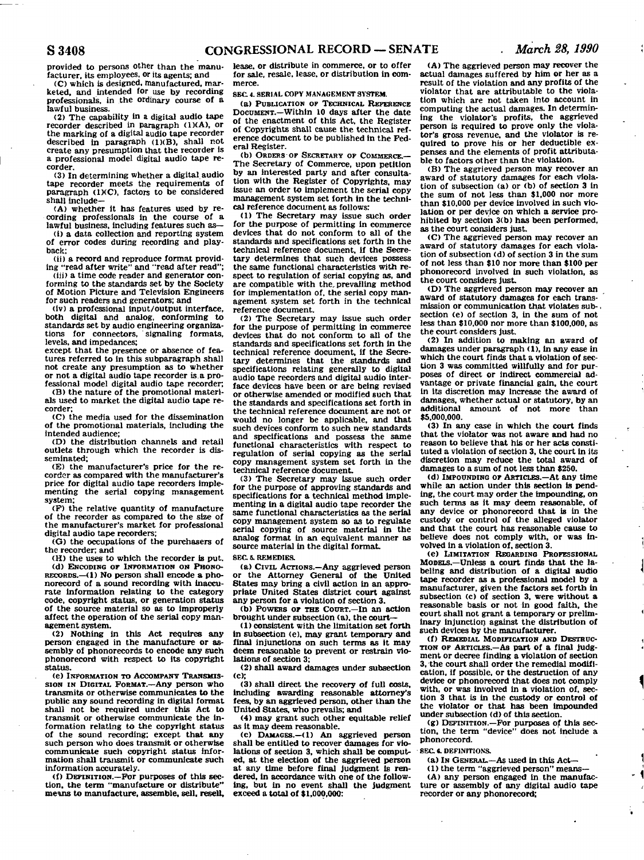provided to persons other than the manufacturer, its employees, or its agents; and

(C) which is designed, manufactured, marketed, and intended for use by recording professionals, in the ordinary course of a lawful business.

(2) The capability in a digital audio tape recorder described in paragraph (1)(A), or the marking of a digital audio tape recorder described in paragraph (1)(B), shall not create any presumption that the recorder is a professional model digital audio tape recorder.

(3) In determining whether a digital audio tape recorder meets the requirements of paragraph (IXC), factors to be considered shall include—

(A) whether it has features used by recording professionals in the course of a lawful business, including features such as—

(i) a data collection and reporting system of error codes during recording and playback;

(ii) a record and reproduce format providing "read after write" and "read after read";

(iii) a time code reader and generator conforming to the standards set by the Society of Motion Picture and Television Engineers for such readers and generators; and

(iv) a professional input/output interface, both digital and analog, conforming to standards set by audio engineering organizations for connectors, ' signaling formats, levels, and impedances;

except that the presence or absence of features referred to in this subparagraph shall not create any presumption as to whether or not a digital audio tape recorder is.a professional model digital audio tape recorder,

(B) the nature of the promotional materials used to market the digital audio tape recorder;

(C) the media used for the dissemination of the promotional materials, including the intended audience;

(D) the distribution channels and retail outlets through which the recorder is disseminated;

(E) the manufacturer's price for the recorder as compared with the manufacturer's price for digital audio tape recorders Implementing the serial copying management system;

(P) the relative quantity of manufacture of the recorder as compared to the size of the manufacturer's market for professional digital audio tape recorders;

(G) the occupations of the purchasers of the recorder; and

<H) the uses to which the recorder is put. (d) ENCODING OF INFORMATION ON PHONO-RECORDS.—(1) No person shall encode a phonorecord of a sound recording with inaccurate information relating to the category code, copyright status, or generation status of the source material so as to improperly affect the operation of the serial copy management system.

(2) Nothing in this Act requires any person engaged in the manufacture or assembly of phonorecords to encode any such phonorecord with respect to its copyright status.

(e) INFORMATION TO ACCOMPANT TRANSMIS-SION IN DIGITAL FORMAT.—Any person who transmits or otherwise communicates to the public any sound recording in digital format shall not be required under this Act to transmit or otherwise communicate the information relating to the copyright status of the sound recording; except that any such person who does transmit or otherwise communicate such copyright status information shall transmit or communicate such information accurately.

(f) DEFINITION.—For purposes of this section, the term "manufacture or distribute" mews to manufacture, assemble, sell, resell, lease, or distribute in commerce, or to offer for sale, resale, lease, or distribution in commerce.

**SBC 4. SERIAL COPY MANAGEMENT SYSTEM.** 

(a) PUBLICATION OF TECHNICAL REFERENCE DOCUMENT.—Within 10 days after the date of the enactment of this Act, the Register of Copyrights shall cause the technical reference document to be published in the Federal Register.

(b) ORDERS OF SECRETARY OF COMMERCE.— The Secretary of Commerce, upon petition by an interested party and after consultation with the Register of Copyrights, may issue an order to implement the serial copy management system set forth in the technical reference document as follows:

(1) The Secretary may issue such order for the purpose of permitting in commerce devices that do not conform to all of the standards and specifications set forth in the technical reference document, if the Secretary determines that such devices possess the same functional characteristics with respect to regulation of serial copying as, and are compatible with the, prevailing method for implementation of, the serial copy management system set forth in the technical reference document.

(2) The Secretary may issue such order for the purpose of permitting in commerce devices that do not conform to all of the standards and specifications set forth in the technical reference document, if the Secretary determines that the standards and specifications relating generally to digital audio tape recorders and digital audio interface devices have been or are being revised or otherwise amended or modified such that the standards and specifications set forth in the technical reference document are not or would no longer be applicable, and that such devices conform to such new standards and specifications and possess the same functional characteristics with respect to regulation of serial copying as the serial copy management system set forth in the technical reference document.

(3) The Secretary may issue such order for the purpose of approving standards and specifications for a technical method implementing in a digital audio tape recorder the same functional characteristics as the serial copy management system so as to regulate serial copying of source material in the analog format in an equivalent manner as source material in the digital format.

**SEC 6. REMEDIES.** 

(a) CIVIL ACTIONS.—Any aggrieved person or the Attorney General of the United States may bring a civil action in an appropriate United States district court against any person for a violation of section 3.

(b) POWERS OF THE COURT.—In an action brought under subsection (a), the court—

(1) consistent with the limitation set forth in subsection (e), may grant temporary and final injunctions on such terms as It may deem reasonable to prevent or restrain violations of section 3;

(2) shall award damages under subsection (c);

(3) shall direct the recovery of full costs. Including awarding reasonable attorney's fees, by an aggrieved person, other than the United States, who prevails; and

(4) may grant such other equitable relief as it may deem reasonable.

(c) DAMAGES.—(1) An aggrieved person shall be entitled to recover damages for violations of section 3, which shall be computed, at the election of the aggrieved person at any time before final Judgment is rendered, in accordance with one of the following, but In no event shall the judgment exceed a total of \$1,000,000:

(A) The aggrieved person may recover the actual damages suffered by him or her as a result of the violation and any profits of the violator that are attributable to the violation which are not taken into account in computing the actual damages. In determining the violator's profits, the aggrieved person is required to prove only the violator's gross revenue, and the violator is required to prove his or her deductible expenses and the elements of profit attributable to factors other than the violation.

(B) The aggrieved person may recover an award of statutory damages for each violation of subsection (a) or (b) of section 3 in the sum of not less than \$1,000 nor more than \$10,000 per device involved in such violation or per device on which a service prohibited by section 3(b) has been performed, as the court considers just.

<C) The aggrieved person may recover an award of statutory damages for each violation of subsection (d) of section 3 in the sum of not less than \$10 nor more than \$100 per phonorecord involved in such violation, as the court considers just.

(D) The aggrieved person may recover an award of statutory damages for each transmission or communication that violates subsection (e) of section 3, in the sum of not less than \$10,000 nor more than \$100,000, as the court considers just.

(2) In addition to making an award of damages under paragraph (1), in any case in which the court finds that a violation of section 3 was committed willfully and for purposes of direct or indirect commercial advantage or private financial gain, the court in its discretion may increase the award of damages, whether actual or statutory, by an additional amount of not more than \$5,000,000.

(3) In any case in which the court finds that the violator was not aware and had no reason to believe that his or her acts constituted a violation of section 3, the court in its discretion may reduce the total award of damages to a sum of not less than \$250.

(d) IMPOUNDING OF ARTICLES.—At any time while an action under this section is pending, the court may order the impounding, on such terms as it may deem reasonable, of any device or phonorecord that is in the custody or control of the alleged violator and that the court has reasonable cause to believe does not comply with, or was involved in a violation of, section 3.

(e) LIMITATION REGARDING PROFESSIONAL MODELS.—Unless a court finds that the labeling and distribution of a digital audio tape recorder as a professional model by a manufacturer, given the factors set forth in subsection (c) of section 3, were without a reasonable basis or not in good faith, the court shall not grant a temporary or preliminary injunction against the distribution of such devices by the manufacturer.

(f) REMEDIAL MODIFICATION AND DESTRUC-TION OF ARTICLES.—As part of a final judgment or decree finding a violation of section 3, the court shall order the remedial modification, if possible, or the destruction of any device or phonorecord that does not comply with, or was involved in a violation of, section 3 that is in the custody or control of the violator or that has been impounded under subsection (d) of this section.

(g) DEFINITION.—For purposes of this sec-tion, the term "device" does not include a phonorecord.

## **SEC «. DEFINITIONS.**

(a) In GENERAL.—As used in this Act-

<1) the term "aggrieved person" means— <A) any person engaged in the manufacture or assembly of any digital audio tape recorder or any phonorecord;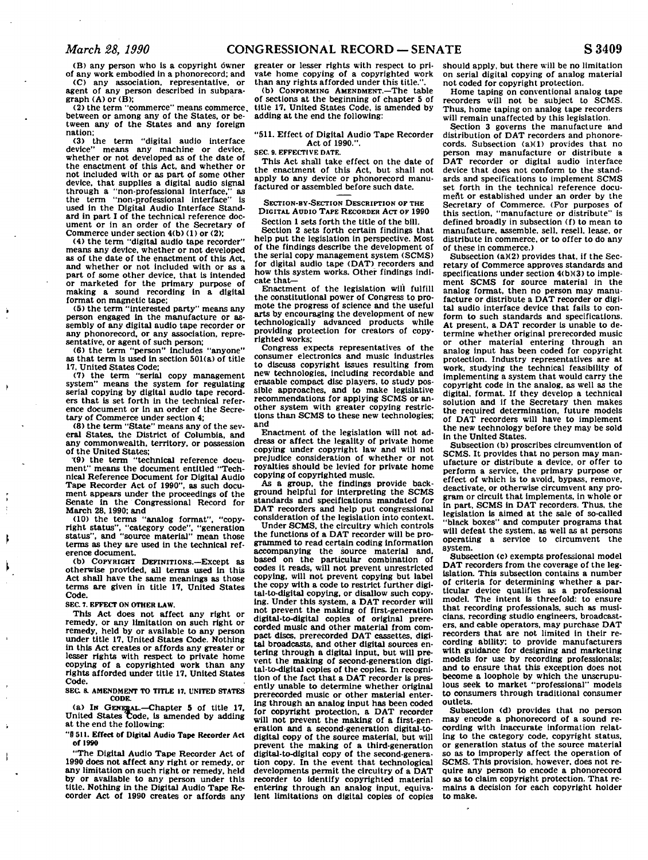(B) any person who is a copyright owner of any work embodied in a phonorecord; and

(C) any association, representative, or agent of any person described in subpara $graph (A)$  or  $(B)$ :

(2) the term "commerce" means commerce, between or among any of the States, or between any of the States and any foreign nation;

(3) the term "digital audio interface<br>device" means any machine or device. means any machine or device, whether or not developed as of the date of the enactment of this Act, and whether or not included with or as part of some other device, that supplies a digital audio signal through a "non-professional interface," as the term "non-professional interface" is used in the Digital Audio Interface Standard in part I of the technical reference document or in an order of the Secretary of Commerce under section 4(b) (1) or (2);

(4) the term "digital audio tape recorder" means any device, whether or not developed as of the date of the enactment of this Act, and whether or not included with or as a part of some other device, that is intended or marketed for the primary purpose of making a sound recording in a digital

format on magnetic tape; (5) the term "interested party" means any person engaged In the manufacture or assembly of any digital audio tape recorder or any phonorecord, or any association, representative, or agent of such person;

(6) the term "person" includes "anyone" as that term is used In section 501(a) of title 17, United States Code;

(7) the term "serial copy management system" means the system for regulating serial copying by digital audio tape recorders that is set forth in the technical reference document or In an order of the Secretary of Commerce under section 4;

(8) the term "State" means any of the sev-eral States, the District of Columbia, and any commonwealth, territory, or possession of the United States;

"(9) the term "technical reference document" means the document entitled "Technical Reference Document for Digital Audio Tape Recorder Act of 1990", as such document appears under the proceedings of the Senate in the Congressional Record for March 28, 1990; and

(10) the terms "analog format", "copyright status", "category code", "generation status", and "source material" mean those terms as they are used in the technical reference document.

(b) COPYRIGHT DEFINITIONS.—Except as otherwise provided, all terms used In this Act shall have the same meanings as those terms are given in title 17, United States Code.

**SEC. 7. EFFECT ON OTHER LAW.** 

This Act does not affect any right or remedy, or any limitation on such right or remedy, held by or available to any person under title 17, United States Code. Nothing in this Act creates or affords any greater or lesser rights with respect to private home copying of a copyrighted work than any rights afforded under title 17, United States Code.

**SEC 8. AMENDMENT TO TITLE 17. UNITED STATES** 

**CODE.**  (a) IN GENERAL.—Chapter 5 of title 17. United States code, is amended by adding at the end the following:

"§ 511. Effect of Digital Audio Tape Recorder Act of 1990

"The Digital Audio Tape Recorder Act of 1990 does not affect any right or remedy, or any limitation on such right or remedy, held by or available to any person under this title. Nothing in the Digital Audio Tape Recorder Act of 1990 creates or affords any

greater or lesser rights with respect to private home copying of a copyrighted work than any rights afforded under this title.

(b) CONFORMING AMENDMENT.—The table of sections at the beginning of chapter 5 of title 17, United States Code, is amended by adding at the end the following:

"511. Effect of Digital Audio Tape Recorder Act of 1990.".

## **SEC. 9. EFFECTIVE DATE.**

This Act shall take effect on the date of the enactment of this Act, but shall not apply to any device or phonorecord manufactured or assembled before such date.

SECTION-BY-SECTION DESCRIPTION OF THE DIGITAL AUDIO TAPE RECORDER ACT OF 1990 Section 1 sets forth the title of the bill.

Section 2 sets forth certain findings that help put the legislation in perspective. Most of the findings describe the development of the serial copy management system (SCMS) for digital audio tape (DAT) recorders and how this system works. Other findings indicate that—

Enactment of the legislation will fulfill the constitutional power of Congress to promote the progress of science and the useful arts by encouraging the development of new technologically advanced products while providing protection for creators of copyrighted works;

Congress expects representatives of the consumer electronics and music industries to discuss copyright issues resulting from new technologies, including recordable and erasable compact disc players, to study possible approaches, and to make legislative recommendations for applying SCMS or another system with greater copying restrictions than SCMS to these new technologies; and

Enactment of the legislation will not address or affect the legality of private home copying under copyright law and will not prejudice consideration of whether or not royalties should be levied for private home copying of copyrighted music.

As a group, the findings provide back-ground helpful for interpreting the SCMS standards and specifications mandated for DAT recorders and help put congressional consideration of the legislation into context.

Under SCMS. the circuitry which controls the functions of a DAT recorder will be programmed to read certain coding information accompanying the source material and, based on the particular combination of codes it reads, will not prevent unrestricted copying, will not prevent copying but label the copy with a code to restrict further digital-to-digital copying, or disallow such copying. Under this system, a DAT recorder will not prevent the making of first-generation digital-to-digital copies of original prerecorded music and other material from compact discs, prerecorded DAT cassettes, digital broadcasts, and other digital sources entering through a digital input, but will prevent the making of second-generation digital-to-digital copies of the copies. In recognition of the fact that a DAT recorder is presently unable to determine whether original prerecorded music or other material entering through an analog input has been coded for copyright protection, a DAT recorder will not prevent the making of a first-generation and a second-generation digital-todigital copy of the source material, but will prevent the making of a third-generation digital-to-digital copy of the second-generation copy. In the event that technological developments permit the circuitry of a DAT recorder to identify copyrighted material entering through an analog input, equivalent limitations on digital copies of copies

should apply, but there will be no limitation on serial digital copying of analog material not coded for copyright protection.

Home taping on conventional analog tape recorders will not be subject to SCMS. Thus, home taping on analog tape recorders will remain unaffected by this legislation.

Section 3 governs the manufacture and distribution of DAT recorders and phonorecords. Subsection (a)(1) provides that no person may manufacture or distribute a DAT recorder or digital audio interface device that does not conform to the standards and specifications to implement SCMS set forth in the technical reference document or established under an order by the Secretary of Commerce. (For purposes of this section, "manufacture or distribute" is defined broadly in subsection (f) to mean to manufacture, assemble, sell, resell, lease, or distribute in commerce, or to offer to do any of these in commerce.)

Subsection (a)(2) provides that, if the Secretary of Commerce approves standards and specifications under section 4(b)(3) to implement SCMS for source material in the analog format, then no person may manufacture or distribute a DAT recorder or digital audio interface device that fails to conform to such standards and specifications. At present, a DAT recorder is unable to determine whether original prerecorded music or other material entering through an analog input has been coded for copyright protection. Industry representatives are at work, studying the technical feasibility of implementing a system that would carry the copyright code in the analog, as well as the digital, format. If they develop a technical solution and if the Secretary then makes the required determination, future models of DAT recorders will have to implement the new technology before they may be sold in the United States.

Subsection (b) proscribes circumvention of SCMS. It provides that no person may manufacture or distribute a device, or offer to perform a service, the primary purpose or effect of which is to avoid, bypass, remove, deactivate, or otherwise circumvent any program or circuit that Implements, in whole or In part, SCMS In DAT recorders. Thus, the legislation is aimed at the sale of so-called black boxes" and computer programs that will defeat the system, as well as at persons operating a service to circumvent the system.

Subsection (c) exempts professional model DAT recorders from the coverage of the legislation. This subsection contains a number of criteria for determining whether a particular device qualifies as a professional model. The intent is threefold: to ensure that recording professionals, such as musicians, recording studio engineers, broadcasters, and cable operators, may purchase DAT recorders that are not limited in their recording ability: to provide manufacturers with guidance for designing and marketing models for use by recording professionals: and to ensure that this exception does not become a loophole by which the unscrupu-lous seek to market "professional" models to consumers through traditional consumer outlets.

Subsection (d) provides that no person may encode a phonorecord of a sound recording with inaccurate information relating to the category code, copyright status, or generation status of the source material so as to improperly affect the operation of SCMS. This provision, however, does not require any person to encode a phonorecord so as to claim copyright protection. That remains a decision for each copyright holder to make.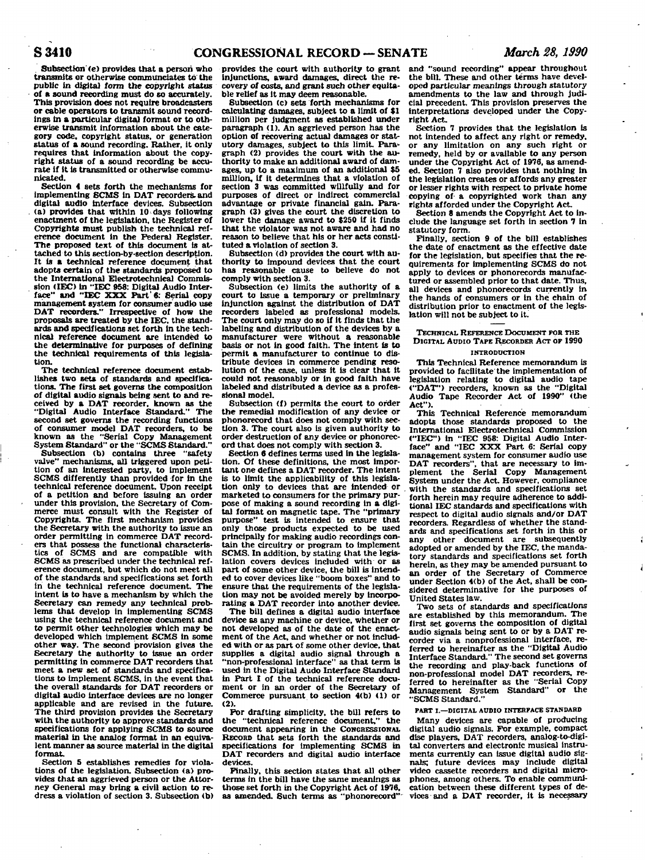**. Subsection (e) provides that a person who transmits or otherwise communclates to the public in digital form the copyright status of a sound recording must do so accurately. This provision does not require broadcasters or cable operators to transmit sound recordings in a particular digital format or to otherwise transmit information about the category code, copyright status, or generation status of a sound recording. Rather, it only requires that information about the copyright status of a sound recording be accurate if it is transmitted or otherwise communicated.** 

**Section 4 sets forth the mechanisms for Implementing SCMS in DAT recorders, and digital audio interface devices. Subsection (a) provides that within 10 days following enactment of the legislation, the Register of Copyrights must publish the technical reference document in the Federal Register.**  The proposed text of this document is at**tached to this section-by-section description. It is a technical reference document that adopts certain of the standards proposed to the International Electrotechnical Commission (IEC) in "IEC 958: Digital Audio Inter**face" and "IEC XXX Part'6: Serial copy **management system for consumer'audio use DAT recorders." Irrespective of how the proposals are treated by the IEC, the standards and specifications set forth in the technical reference document are intended to the determinative for purposes of defining the technical requirements of this legislation.** 

**The technical reference document establishes two sets of standards and specifications. The first set governs the composition of digital audio signals being sent to and received by a DAT recorder, known as the "Digital Audio Interface Standard." The second set governs the recording functions of consumer model DAT recorders, to be known as the "Serial Copy Management System Standard" or the "SCMS Standard."** 

**Subsection (b) contains three "safety valve" mechanisms, all triggered upon petition of an interested party, to implement SCMS differently than provided for in the technical reference document. Upon receipt of a petition and before issuing an order under this provision, the Secretary of Commerce must consult with the Register of Copyrights. The first mechanism provides the Secretary with the authority to issue an order permitting in commerce DAT recorders that possess the functional characteristics of SCMS and are compatible with SCMS as prescribed under the technical reference document, but which do not meet all of the standards and specifications set forth in the technical reference document. The intent is to have a mechanism by which the Secretary can remedy any technical problems that develop in implementing SCMS using the technical reference document and to permit other technologies which may be developed which implement SCMS in some other way. The second provision gives the Secretary the authority to issue an order permitting in commerce DAT recorders that meet a new set of standards and specifications to Implement SCMS, in the event that the overall standards for DAT recorders or digital audio interface devices are no longer applicable and are revised in the future. The third provision provides the Secretary with the authority to approve standards and specifications for applying SCMS to source material in the analog format in an equivalent manner as source material in the digital format.** 

**Section 5 establishes remedies for violations of the legislation. Subsection (a) provides that an aggrieved person or the Attorney General may bring a civil action to redress a violation of section 3. Subsection (b)**  **provides the court with authority to grant injunctions, award damages, direct the recovery of costs, and grant such other equitable relief as it may deem reasonable.** 

**Subsection (c) sets forth mechanisms for calculating damages, subject to a limit of \$1 million per judgment as established under paragraph (1). An aggrieved person has the option of recovering actual damages or stat**utory damages, subject to this limit. Para**graph (2) provides the court with the authority to make an additional award of damages, up to a maximum of an additional \$5 million, if it determines that a violation of section 3 was committed willfully and for purposes of direct or Indirect commercial advantage or private financial gain. Paragraph (3) gives the court the discretion to**  lower the damage award to \$250 if it finds **that the violator was not aware and had no reason to believe that his or her acts constituted a violation of section 3.** 

**Subsection (d) provides the court with authority to impound devices that the court has reasonable cause to believe do not comply with section 3.** 

**Subsection (e) limits the authority of a court to issue a temporary or preliminary injunction against the distribution of DAT recorders labeled as professional models. The court only may do so if it finds that the labeling and distribution of the devices by a manufacturer were without a reasonable basis or not in good faith. The intent is to permit a manufacturer to continue to distribute devices in commerce pending resolution of the case, unless it is clear that it could not reasonably or in good faith have labeled and distributed a device as a professional model.** 

**Subsection <f) permits the court to order the remedial modification of any device or phonorecord that does not comply with section 3. The court also is given authority to order destruction of any device or phonorecord that does not comply with section 3.** 

**Section 6 defines terms used in the legislation. Of these definitions, the most important one defines a DAT recorder. The intent is to limit the applicability of this legislation only to devices that are intended or marketed to consumers for the primary purpose of making a sound recording in a digital format on magnetic tape. The "primary purpose" test is intended to ensure that only those products expected to be used principally for making audio recordings contain the circuitry or program to implement SCMS. In addition, by stating that the legislation covers devices included with or as part of some other device, the bill is intended to cover devices like "boom boxes" and to ensure that the requirements of the legislation may not be avoided merely by incorporating a DAT recorder into another device.** 

**The bill defines a digital audio interface device as any machine or device, whether or not developed as of the date of the enact**ment of the Act, and whether or not includ**ed with or as part of some other device, that supplies a digital audio signal through a "non-professional interface" as that term is used in the Digital Audo Interface Standard in Part I of the technical reference document or in an order of the Secretary of Commerce pursuant to section 4(b) <1) or**   $(2)$ 

**For drafting simplicity, the bill refers to**  the "technical reference document." **document appearing in the CONGRESSIONAL RECORD that sets forth the standards and specifications for implementing SCMS in DAT recorders and digital audio interface devices.** 

**Finally, this section states that all other terms in the bill have the same meanings as those set forth in the Copyright Act of 1976, as amended. Such terms as "phonorecord"'** 

**and "sound recording" appear throughout the bill. These and other terms have developed particular meanings through statutory amendments to the law and through Judi-cial precedent. This provision preserves the interpretations developed under the Copyright Act** 

**Section 7 provides that the legislation Is not intended to affect any right or remedy, or any limitation on any such right or remedy, held by or available to any person under the Copyright Act of 1976, as amended. Section 7 also provides that nothing in the legislation creates or affords any greater or lesser rights with respect to private home copying of- a copyrighted work than any rights afforded under the Copyright Act** 

**Section 8 amends the Copyright Act** *to* **Include the language set forth in section 7 in statutory form.** 

**Finally, section 9 of the bill establishes the date of enactment as the effective date for the legislation, but specifies that the requirements for implementing SCMS do not apply to devices or phonorecords manufactured or assembled prior to that date. Thus, all devices and phonorecords currently in the hands of consumers or in the chain of distribution prior to enactment of the legislation will not be subject to it.** 

**TECHNICAL REFERENCE DOCUMENT TOR THE DIGITAL AUDIO TAPE RECORDER ACT OF 1990** 

## **INTRODUCTION**

**This Technical Reference memorandum is provided to facilitate the implementation of legislation relating to digital audio tape ("DAT") recorders, known as the "Digital Audio Tape Recorder Act of 1990" <the Act").** 

**This Technical Reference memorandum adopts those standards proposed to the International Electrotechnical Commission ("IEC") in "IEC 958: Digital Audio Interface" and "IEC XXX Part 6: Serial copy management system for consumer audio use DAT recorders", that are necessary to im-plement the Serial Copy Management System under the Act. However, compliance . with the standards and specifications set forth herein may require adherence to additional IEC standards and specifications with respect to digital audio signals and/or DAT recorders. Regardless of whether the standards and specifications set forth in this or any other document are subsequently adopted or amended by the IEC, the mandatory standards and specifications set forth herein, as they may be amended pursuant to an order of the Secretary of Commerce under Section 4(b) of the Act, shall be considered determinative for the purposes of United States law.** 

**Two sets of standards and specifications are established by this memorandum. The first set governs the composition of digital audio signals being sent to or by a DAT recorder via a nonprofessional interface, referred to hereinafter as the "Digital Audio Interface Standard." The second set governs the recording and play-back functions of non-professional model DAT recorders, re-ferred to hereinafter as the "Serial Copy Management System Standard" or the "SCMS Standard."** 

#### **PART I.—DIGITAL AUDIO INTERFACE STANDARD**

**Many devices are capable of producing digital audio signals. For example, compact disc players, DAT recorders, analog-to-digital converters and electronic musical instruments currently can issue digital audio signals; future devices may include digital video cassette recorders and digital microphones, among others. To enable communication between these different types of devices and a DAT recorder, it is necessary**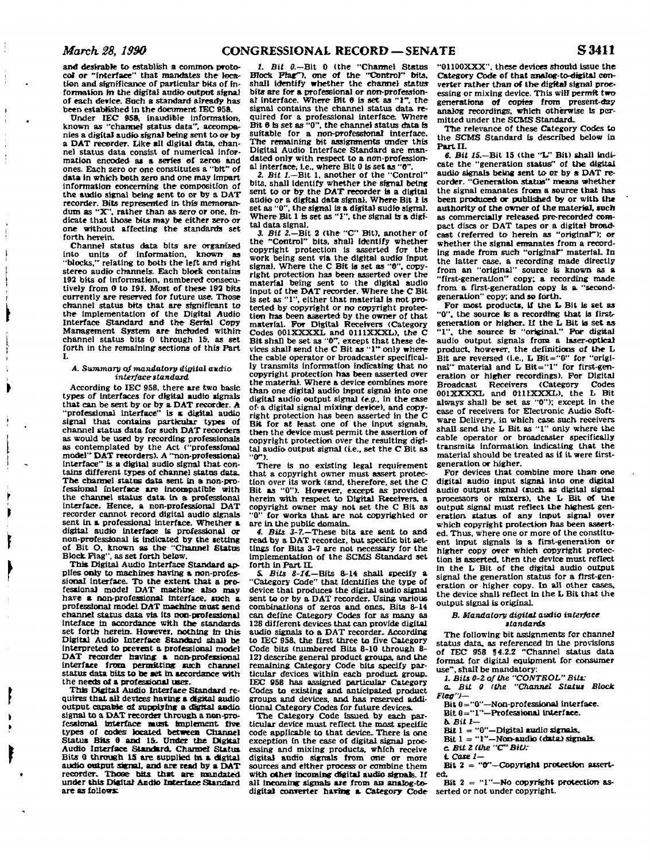**and desirable to establish a common protocol or "Interface" that mandates the location and significance of particular bits of Information in the digital audio output signal of each device. Such a standard already has been established In the document IEC 958.** 

**Under IEC 959, inaudible information, known as "channel status data", accompanies a digital audio signal being sent to** *or* **by a DAT recorder. Like all digital data, channel status data consist of numerical information encoded as a series of zeros and ones. Each zero or one constitutes a "bit" of data in which both zero and one may Impart information concerning the compositfon of the audio signal being sent to or by a DAT recorder. Bits represented in this memorandum as "X", rather than as zero or one, indicate that those bits may be either zero or one without affecting the standards set forth herein.** 

**Channel status data bits are organized into units of information, known as "blocks,'' relating to both the left and right stereo audio channels. Bach block contains**  192 bits of information, numbered consecu**tively from 0 to 191. Most of these 193 bits currently are reserved for future use. Those channel status bits that are significant to the implementation of the Digital Audio Interface Standard and the Serfal Copy Management System are mctoded within channel status bits 0 through 15. as set forth in the remafhing sections of this Part I.** 

#### *A. Summary of mandatory digital audio interface standard*

**According to IEC 958. there are two basic types of Interfaces for digital audio signals that can be sent by or by a DAT recorder. A "professional Interface" Is a digital audio signal that contains particular types of channel status data for such DAT recorders as would be used by recording professionals as contemplated by the Act ("professional model" DAT recorders). A "non-professional interface" Is a digital audio signal that contains different types of channel status data. The channel status data sent in a non-professional interface are Incompatible with the channel status data In a professional interface. Hence, a non-professional DAT recorder cannot record digital audio signals sent in a professional Interface. Whether a digital audio interface is professional or non-professional is indicated by the setting of Bit O. known as the "Channel Status Block. Flag", as set forth below.** 

**This Digital Audio Interface Standard applies only to machines having a non-professional interface. To the extent that a pro-fessional model DAT machine also may**  have a non-professional interface, such a **professional model DAT machine must send channel status data via Its non-professional inteface in accordance with the standards, set forth herein. However, nothing in this Digital Audio Interface Standard shall be interpreted to prevent a professional model DAT recorder having; a non-professional interface from permitting sucb channel status data bits to be set in accordance with the needs of a professional user.** 

**This Digital Audio Interface Standard requires that all devices having a digital audio output capaMe of supplying a digital audio signal to a DAT recorder through a ncn-profesaional interface must implement five types of codes located between Channel Status Bits 0 and 15. Under the Digital Audio Interface Standard. Channel Status Bits 0 through 15 are supplied In a digital audio output signal, and are read by a DAT recorder. Those bits that are mandated under this Digital Audio Interface Standard are as follows:** 

1. Bit 0.—**Bit 0** (the "Channel Status **Block Pteg~>, one of the "Control" bits, shall identify whether the channel statusbits are for a professional or non-professional interface. Where Bit 0 is set as "1", the signal contains the channel status data required for a professional interface Where Bit ft Is set as "0", the channel status data is suitable for a non-professional interface. The remaining bit assignments under this Digital Audio Interface Standard are mandated only with respect to a non-professional interface, i.e., where Bit 0 Is set as "0".** 

*2. Bit 1.—***Bit 1, another of the "Control" bits, shall identify whether the signal being sent to or by the DAT recorder is a digital audio or a digital data signal. Where Bit I is set as "0", the signal is a digital audio signal. Where Bit 1 is set as "I", the signal is a digital data signal.** 

*3. Bit* **2.—Bit 2 (the "C" Bit), another of the "Control" bits, shall identify whether copyright protection is asserted for the work being sent via the digital audio input signal. Where the C Bit is set as "0", copyright protection has been asserted over the material being sent to the digital audio input of the DAT recorder. Where the C Bit is set as "1", either that material is not protected by copyright or no copyright protection has been asserted by the owner of that material. For Digital Receivers CCategory Codes 001XXXXL and 0111XXXL). the C Bit shall be set as "0". except that these de-vices shall send the C Bit as "1" only where the cable operator or broadcaster specifically transmits information indicating that no copyright protection has been asserted over the material. Where a device combines more than one digital audio input signal into one digital audio output signal** *(e.g..* **in the ease of- a digital signal mixing device), and copyright protection has been asserted fn the C Bit for at least one of the input signals, then the device must permit the assertion of copyright protection over the resulting digital audio output signal (i.e., set the C Bit as "(T).** 

**There is no existing legal requirement that a copyright owner must assert protection over its work (and. therefore, set the C Bit as "0">. However, except as provided herein with respect to Digital Receivers, a copyright owner may not set the C Bit as**  for works that are not copyrighted or **are in the public domain.** 

*4. Bits. 3-7.—***These bits are sent to and read by a DAT recorder, but specific bit set-tings for Bits 3-7 are not necessary for the implementation of the SCMS Standard set**  forth in Part II.

**&** *Bits 8-14.—***Bits S-14 shall specify a "Category Code" that identifies the type of device that produces the digital audio signal sent to or by a DAT recorder. Using various combinations of zeros and ones. Bits 8-14 can define Category Codes for as many as 128 different devices that can provide digital audio signals to a DAT recorder- According to IEC 958, the first three to five Category Code bits (numbered Bits 8-10 through 8- 12) describe general product groups, and the remaining Category Code bits specify particular devices within each product group. IEC 958 has assigned particular Category Codes to existing and anticipated product groups and devices, and has reserved additional Category Codes for future devices.** 

**The Category Code Issued by each particular device must reflect the most specific code applicable to that device. There is one exception fn the case of digital signal processing and mixing products, which receive digital audio signals from one** *or* **more sources and either process or combine them with other incoming digital audio signak. If all Incoming signals are from an analog-todigital converter having a Category Code** 

**"01100XXX". these devices should issue the Category Code of that analog-to-digltal converter rather than of the digital signal processing or mixing device. This will permit two generations of copies from present-day analog recordings, which otherwise Is permitted under the SCMS Standard.** 

**The relevance of these Category Codes to the SCMS Standard is described below in Part II.** 

*6. Bit 15.—***Bit 15 (the "1»" Bit) shall indicate the "generation status" of the digital audio signals being sent to or by a DAT recorder. "Generation status" means whether the signal emanates from a source that has been produced or published by or with the authority of the owner of the material, such as commercially released pre-recorded compact discs or DAT tapes or a digital broad-cast (referred to herein as "original"); or whether the signal emanates from a recording made from such "origmar\* material. In the latter case, a recording made directly from an "original" source is known as a "first-generation" copy; a recording made from, a first-generation copy is a "secondgeneration" copy: and so forth.** 

**For most products. U the L Bit is set as "0". the source Is a recording that is firstgeneration or higher. If the L Bit is set as "1". the source te "original." For digital audio output signals from, a laser-optical product, however, the definitions of the L**  Bit are reversed (i.e., L Bit="0" for "origi**nal" material and L- Bit="l" for first-generation or higher recordings). For Digital Broadcast Receivers (Category Codes 001XXXXL and 011IXXXL). the L Bit always shall be set as "0"): except in the case of receivers for Electronic Audio Software Delivery, in which case such receivers shall send the L Bit as "1" only where the cable operator or broadcaster specifically transmits Information indicating that the material should be treated as if it were firstgeneration or higher.** 

**For devices that combine more than one digital audio input signal into one digital audio output signal (such as digital signal**  processors or mixers), the L Bit of the **output signal must reflect the highest generation status of any Input signal over which copyright protection has been assert**ed. Thus, where one or more of the constitu**ent input signals Is a first-generation or higher copy over which copyright protection Is asserted, then the device must reflect in the L Bit of the digital audio output signal the generation status for a first-generation or higher copy. In all other cases, the device shall reflect in the L Bit that the output signal is original** 

#### *B. Mandatory digital audio interface standards*

**The following bit assignments for channel status data, as referenced in the provisions of IEC 958 J4.2.2 "Channel status data format for digital equipment for consumer use", shall be mandatory:** 

**J.** *Bits 0-Z of the "CONTROL" Bits:* 

**a.** *Bit 0 (the "Channel Status Block Flag")—* 

Bit 0="0"—Non-professional interface.

**Bit 0="1"—Professional interface.** 

*b. Bill-*

*Bit* **1 — "0"—Digital audio signals.** 

**Bit 1 = "1"—Non-mdio (data) signals, c** *Bit! (the "C"Bit):* 

*tCasel—* 

**Bit 2 = "0"—Copyright protection asserted.** 

**Bit 2 = "1"—No copyright protection asserted or not under copyright.**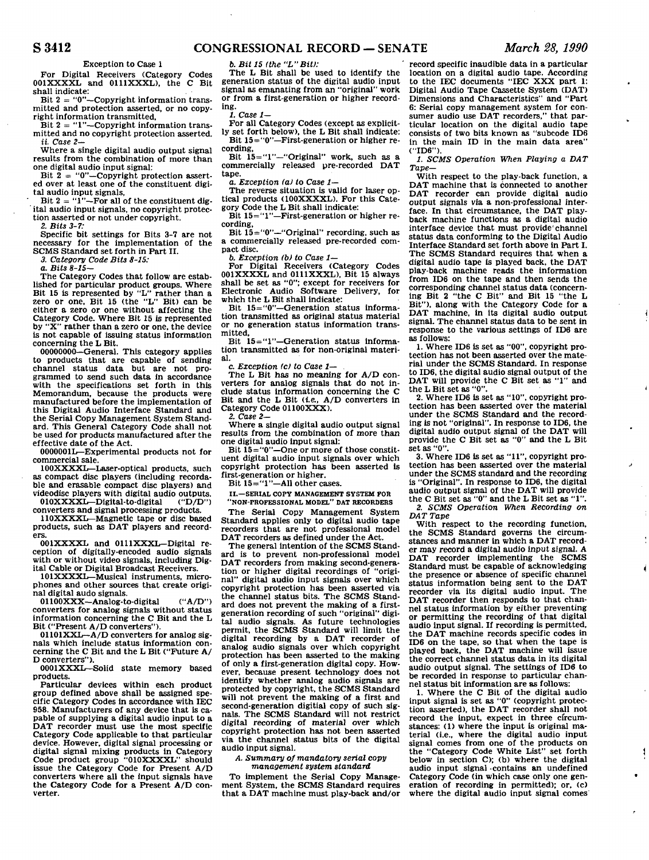$\mathbf i$ 

 $\overline{\phantom{a}}$ 

 $\mathbf{I}$ 

#### **Exception to Case 1**

**For Digital Receivers (Category Codes 001XXXXL and 0111XXXL), the C Bit shall indicate:** 

**Bit 2 = "0"—Copyright information transmitted and protection asserted, or no copy-**

**right information transmitted, Bit 2 = "1"—Copyright information transmitted and no copyright protection asserted.**  *it Case 2—* 

**Where a single digital audio output signal results from the combination of more than one digital audio input signal:** 

Bit 2 = "0"-Copyright protection assert**ed over at least one of the constituent digital audio input signals.** 

**Bit 2 = "1"—For all of the constituent digital audio input signals, no copyright protection asserted or not under copyright.** 

**2.** *Bits 3-7:* 

**Specific bit settings for Bits 3-7 are not necessary for the implementation of the SCMS Standard set forth in Part II.** 

*3. Category Code Bits 8-15:* 

*a. Bits 8-15—* 

**The Category Codes that follow are established for particular product groups. Where Bit 15 is represented by "L" rather than a zero or one. Bit 15 (the "L" Bit) can be either a zero or one without affecting the Category Code. Where Bit 15 is represented by "X" rather than a zero or one, the device is not capable of issuing status information concerning the L Bit.** 

**00000000—General. This category applies to products that are capable of sending channel status data but are not pro-grammed to send such data in accordance with the specifications set forth in this Memorandum, because the products were manufactured before the implementation of this Digital Audio Interface Standard and the Serial Copy Management System Standard. This General Category Code shall not be used for products manufactured after the effective date of the Act.** 

**0000001L—Experimental products not for commercial sale.** 

**100XXXXL—Laser-optical products, such as compact disc players (including recordable and erasable compact disc players) and videodisc players with digital audio outputs.**  010XXXXL-Digital-to-digital

**converters and signal processing products. 110XXXXL—Magnetic tape or disc based** 

**products, such as DAT players and record-001XXXXL and OlllXXXL-Digital re-**

**ception of digitally-encoded audio signals with or without video signals, including Digital Cable or Digital Broadcast Receivers.** 

**101XXXXL—Musical instruments, microphones and other sources that create original digital audo signals.** 

**01100XXX—Analog-to-digital ("A/D") converters for analog signals without status information concerning the C Bit and the L Bit ("Present A/D converters").** 

**01101XXL—A/D converters for analog signals which include status information concerning the C Bit and the L Bit ("Future A/ D converters").** 

**0001XXXL—Solid state memory based products.** 

**Particular devices within each product group defined above shall be assigned specific Category Codes in accordance with IEC 958. Manufacturers of any device that is capable of supplying a digital audio input to a DAT recorder must use the most specific Category Code applicable to that particular device. However, digital signal processing or digital signal mixing products in Category Code product group "010XXXXL" should issue the Category Code for Present A/D converters where all the input signals have the Category Code for a Present A/D converter.** 

**6.** *Bit 15 (the "L"Bit):* 

**The L Bit shall be used to identify the generation status of the digital audio input signal as emanating from an "original" work or from a first-generation or higher recording.** 

*1. Case 1—* 

**For all Category Codes (except as explicitly set forth below), the L Bit shall indicate: Bit 15="0"—First-generation or higher recording.** 

**Bit 15="1"—"Original" work, such as a commercially released pre-recorded DAT tape.** 

*a. Exception (a) to Case 1—* 

**The reverse situation is valid for laser optical products (100XXXXL). For this Category Code the L Bit shall indicate:** 

Bit 15="1"—First-generation or higher re**cording,** 

**Bit 15="0"—"Original" recording, such as a commercially released pre-recorded compact disc.** 

*b. Exception (b) to Case 1—* 

**For Digital Receivers (Category Codes 001XXXXL and 0111XXXL), Bit 15 always shall be set as "0"; except for receivers for Electronic Audio Software Delivery, for which the L Bit shall indicate:** 

**Bit 15="0"—Generation status information transmitted as original status material or no generation status information transmitted.** 

**Bit 15="1"—Generation status information transmitted as for non-original material.** 

**c.** *Exception <c) to Case 1—* 

**The L Bit has no meaning for A/D converters for analog signals that do not include status information concerning the C Bit and the L Bit (i.e., A/D converters in Category Code 01100XXX).** 

**2.** *Case* **2—** 

**Where a single digital audio output signal results from the combination of more than one digital audio input signal:** 

Bit  $15 = 0$  –One or more of those constit**uent digital audio input signals over which copyright protection has been asserted is first-generation or higher.** 

Bit  $15 =$  '1''-All other cases.

**II.—SERIAL COPY MANAGEMENT SYSTEM FOR** 

**"NON-PROFESSIONAL MODEL" DAT RECORDERS The Serial Copy Management System Standard applies only to digital audio tape recorders that are not professional model DAT recorders as defined under the Act.** 

**The general intention of the SCMS Standard is to prevent non-professional model DAT recorders from making second-generation or higher digital recordings of "original" digital audio input signals over which copyright protection has been asserted via the channel status bits. The SCMS Standard does not prevent the making of a firstgeneration recording of such "original" digital audio signals. As future technologies permit, the SCMS Standard will limit the digital recording by a DAT recorder of analog audio signals over which copyright protection has been asserted to the making of only a first-generation digital copy. However, because present technology does not identify whether analog audio signals are protected by copyright, the SCMS Standard will not prevent the making of a first and second-generation digitial copy of such signals. The SCMS Standard will not restrict digital recording of material over which copyright protection has not been asserted via the channel status bits of the digital audio input signal.** 

*A. Summary of mandatory serial copy management system standard* 

**To implement the Serial Copy Management System, the SCMS Standard requires that a DAT machine must play-back and/or** 

**record specific inaudible data in a particular location on a digital audio tape. According to the IEC documents "IEC XXX part 1: Digital Audio Tape Cassette System (DAT) Dimensions and Characteristics" and "Part 6: Serial copy management system for consumer audio use DAT recorders," that particular location on the digital audio tape consists of two bits known as "subcode ID6 in the main ID in the main data area" ("ID6").** 

*1. SCMS Operation When Playing a DAT Tape—* 

**With respect to the play-back function, a DAT machine that is connected to another DAT recorder can provide digital audio output signals via a non-professional interface. In that circumstance, the DAT playback machine functions as a digital audio interface device that must provide'channel status data conforming to the Digital Audio Interface Standard set forth above in Part I. The SCMS Standard requires that when a digital audio tape is played back, the DAT play-back machine reads the information from ID6 on the tape and then sends the corresponding channel status data (concerning Bit 2 "the C Bit" and Bit 15 "the L Bit"), along with the Category Code for a DAT machine, in its digital audio output signal. The channel status data to be sent in response to the various settings of ID6 are as follows:** 

**1. Where ID6 is set as "00", copyright protection has not been asserted over the material under the SCMS Standard. In response to ID6, the digital audio signal output of the DAT will provide the C Bit set as "1" and the L Bit set as "0".** 

**2. Where ID6 is set as "10", copyright protection has been asserted over the material under the SCMS Standard and the recording is not "original". In response to ID6, the digital audio output signal of the DAT will provide the C Bit set as "0" and the L Bit set as "0".** 

**3. Where ID6 is set as "11", copyright protection has been asserted over the material under the SCMS standard and the recording is "Original". In response to ID6, the digital audio output signal of the DAT will provide the C Bit set as "0" and the L Bit set as "1". 2.** *SCMS Operation When Recording on DAT Tape* 

**With respect to the recording function, the SCMS Standard governs the circumstances and manner in which a DAT recorder may record a digital audio input signal. A DAT recorder implementing the SCMS Standard must be capable of acknowledging the presence or absence of specific channel status information being sent to the DAT recorder via its digital audio input. The DAT recorder then responds to that channel status information by either preventing or permitting the recording of that digital audio input signal. If recording is permitted, the DAT machine records specific codes in ID6 on the tape, so that when the tape is played back, the DAT machine will issue the correct channel status data in its digital audio output signal. The settings of ID6 to be recorded in response to particular channel status bit information are as follows:** 

**1. Where the C Bit of the digital audio input signal is set as "0" (copyright protection asserted), the DAT recorder shall not record the input, expect in three circum-stances: (1) where the input is original material (i.e., where the digital audio input signal comes from one of the products on the "Category Code White List" set forth below in section C); (b) where the digital audio input signal contains an undefined Category Code (in which case only one generation of recording in permitted); or, (c) where the digital audio input signal comes**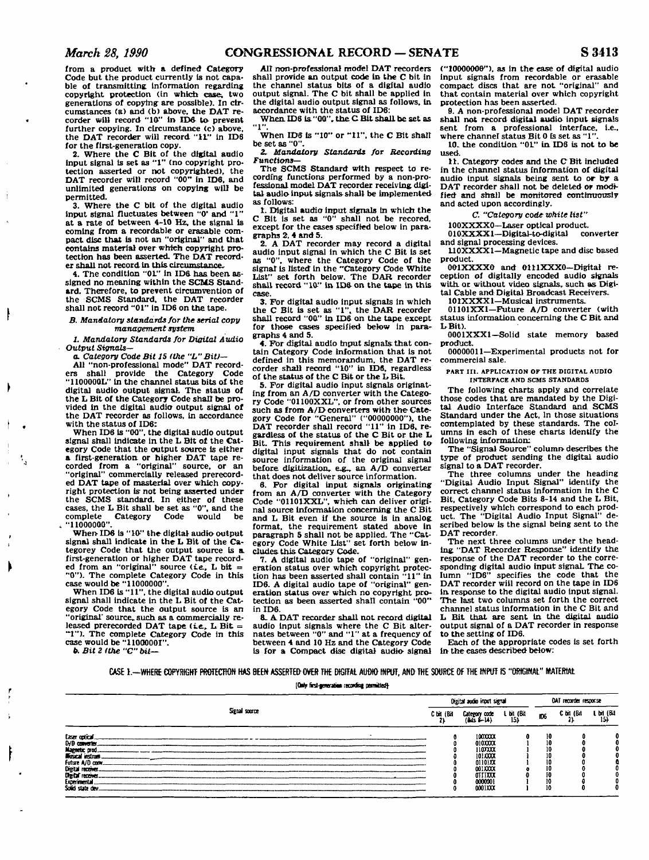**from a product with a defined Category Code but the product currently is not capable of transmitting information regarding copyright protection (in which case; two generations of copying are possible). In circumstances (a) and (b) above, the DAT re-corder will record "10" in IDS to- prevent further copying. In circumstance (c) above, the DAT recorder will record "11" In ID6 for the first-generation copy.** 

**2. Where the C Bit of the digital audio Input signal is set as "1" (no copyright protection asserted or not copyrighted), the DAT recorder will record "00" in ID6, and unlimited generations on copying will be permitted.** 

**3. Where the C bit of the digital audio**  input signal fluctuates between "0' and "1" **at a rate of between 4-10 Hz, the signal is coming from a recordable or erasable compact disc that is not an "original" and that contains material over which copyright protection has been asserted. The DAT recorder shall not record in this, circumstance.** 

**4. The condition "01" in IDS has been assigned no meaning within the SCMS Standard. Therefore, to prevent circumvention of the SCMS Standard, the DAT recorder shall not record "01" in ID6 on the tape.** 

*B. Mandatory standards for the serial copy management system* 

*1. Mandatory Standards for Digital Audio Output Signals—* 

*a. Category Code Bit 15 (the "L" Bit)—* 

**All "non-professional mode" DAT recorders shall provide the Category Code "1100000L" in the channel status bits of the digital audio output signal. The status of the L Bit of the Category Code shall be provided in the digital audio output signal of the DAT recorder as follows, in accordance with the status of IDS:** 

**When ID6 is "00", the digital audio output signal shall Indicate in the L Bit of the Category Code that the output source is either a first-generation or higher DAT tape re-corded from a "original" source, or an "original" commercially released prerecorded DAT tape of masterial over which copyright protection is not being asserted under the SCMS standard. In either of these cases, the L Bit shall be set as "0", and the Category "11000000".** 

When ID6 is "10" the digital audio output **signal shall indicate in the L Bit of the Categorey Code that the output source is a. first-generation or higher DAT tape record-ed from an "original" source (ie,, L bit = "0"). The complete Category Code in this case would be "11000000".** 

**When IDS is "11", the digital audio output signal shall indicate in the L Bit of the Category Code that the output source is an "original' source, such, as a commercially re**leased prerecorded DAT tape (i.e., L Bit = **"I"). The complete Category Code in this case would be "11000001".** 

**fc** *Bit 2 (the "C" bit-*

*Alt* **non-professional model DAT recorders shall provide an output code in the C bit in the channel status bits of a digital audio output signal. The C bit shall be applied in the digital audio output signal as follows, in accordance with the status of IDS:** 

**When. IDS is. "00", [the.CBitshaU.be s](http://the.CBitshaU.be)et as "1".** 

**When IDS is "10" or "11", the C Bit shall be set as "0".** 

*2. Mandatory Standards for Recording Functions***—** 

**The SCMS Standard wtth respect to recording functions performed by a non-pro**fessional model DAT recorder receiving digi**tal audio input signals shall be implemented as follows:** 

**1. Digital audio input signals in which the C Bit is set as "0" shall not be recored, except for the cases specified below in paragraphs** *2,* **4 and 5.** 

**2. A DAT recorder may record a digital audio input signal in which the C Bit is set as "0", where the Category Code of the signal Is listed in the "Category Code White List" set forth below. The DAR recorder shall record "10" in IDS on the tape in this case.** 

*3.* **For digital audio input signals in which the C Bit is set as "1". the DAR recorder shall record "00" in IDS on the tape except for those cases specified below in paragraphs 4 and 5.** 

**4. For digital audio input signals: that contain Category Code information that is not defined in this memorandum, the DAT recorder shall record "10" in IDS, regardless of the status of the C Bit or the L Bit.** 

**5. For digital audio input signals originating from an A/D converter with the Category Code "01100XXL", or from other sources such as from A/ D converters with the Cate-gory Code for "General" ("00000000"), the**  DAT recorder shall record "11" in ID6, re**gardless of the status of the C Bit or the L Bit. This requirement shall be applied to digital input signals that do not contain source information of the original signal before digitization, e^u, an. A/D converter that does not deliver source information.** 

**6. For digital input signals originating from an A/D converter with the Category Code "01101XXL", which can deliver original source information concerning the C Bit and L Bit even if the source is in analog format, the requirement stated above in paragraph 5 shall not be applied. The "Category Code White List" set forth below includes this Category Code.** 

**7. A digital audio tape of "original" generation status over which copyright protection has been asserted shall contain "11" in ID6. A digital audio tape of "original" generation status over which no copyright pro-tection as been asserted shall contain "00" in IDS.** 

**a.** *A.* **DAT recorder shall not record digital audio input signals where the C Bit alternates between "0" and "1" at a frequency of between 4 and 10 Hz and the Category Code Is for a Compact disc digital audio signal** 

**("10000000"), as in the ease of digital audio input signals from recordable or erasable compact discs that are not "original" and that contain material over which copyright protection has been asserted.** 

**9. A non-professional model DAT recorder shall not record digital audio input signals sent from a professional interface, i.e.,**  where channel status **Bit 0** is set as "1"

**10. the condition "0L" in IDS is not to be used.** 

**11. Category codes and the CBit included in the channel status information of digital audio input signals being sent to or by a**  DAT recorder shall not be deleted or modi**fied and shall be monitored continuously and acted upon accordingly.** 

*C. "Category code white list"* 

**100XXXXO—Laser optical product. 010XXXX1—Digital-to-digital converter and signal processing devices.** 

**110XXXX1—Magnetic tape and disc based product.** 

**0O1XXXXO and O111XXX0—Digttal reception of digitally encoded audio signals with, or without video signals, such as Digital Cable and Digital Broadcast Receivers.** 

**101XXXX1—Musical instruments.** 

**01101XX1—Future A/D converter (with status information concerning the C Bit and LBit).** 

**0001XXX1—Solid state memory based product.** 

**00000011—Experimental products not for commercial sale.** 

**PART III. APPLICATION OF THE DIGITAL AUDIO INTERFACE AND SCMS STANDARDS** 

**The following charts apply and correlate those codes that are mandated by the Digital Audio Interface Standard and SCMS Standard under the Act, in those situations contemplated by these standards. The columns in each of these charts identify the following information:** 

**The "Signal Source" column- describes the type of product sending the digital audio signal to a DAT recorder.** 

**The three columns under the heading "Digital Audio Input Signal" identify the correct channel status information in the C Bit, Category Code Bits 8-14 and the L Bit, respectively which correspond to each product. The "Digital Audio Input Signal" described below Is the signal being sent to the DAT recorder.** 

**The next three columns under the heading "DAT Recorder Response" identify the response of the DAT recorder to the corresponding digital audio input signal. The column "IDS" specifies the code that the DAT recorder will record on the tape in ID6 in response to the digital audio input signal. The last two columns set forth the correct channel status information in the C Bit and L Bit that are sent in the dieital audio output signal of a DAT recorder in response to the setting of ID6.** 

**Each of the appropriate codes is set forth in the cases described below:** 

# **CASE 1.—WHERE COPYRIGHT PROTECTION HAS BEEN ASSERTED OVER THE DIGITAL AUDIO INPUT, AND THE SOURCE OF THE INPUT IS "ORIGINAL" MATERIAL**

**[Only first-generation recording permitted}** 

|                                  |            | Oigital audio imput signal   | DAT recorder response |     |            |                   |
|----------------------------------|------------|------------------------------|-----------------------|-----|------------|-------------------|
| Signal source                    | C bit (Bit | Category code<br>(Bits a-14) | L bit (Bit<br>15)     | ID6 | C bit (Bit | L bit (Bit<br>15) |
| <b>Laser cotical</b>             |            | 1000000                      |                       | 10  |            |                   |
| 0/0 converter.                   |            | 0100000                      |                       | 10  |            |                   |
|                                  |            | 1107XX                       |                       | 10  |            |                   |
| Magnetic prod<br>Musical instrum |            | 1010000                      |                       | 10  |            |                   |
| Future A/D conv.                 |            | 01101XX                      |                       | 10  |            |                   |
| Digital receiver.                |            | 001XXX                       |                       | 10  |            |                   |
|                                  |            | OIIIXX                       |                       |     |            |                   |
| Digital receiver<br>Experimental |            | 0000001                      |                       |     |            |                   |
| Solid state dev.                 |            | 0001XXX                      |                       |     |            |                   |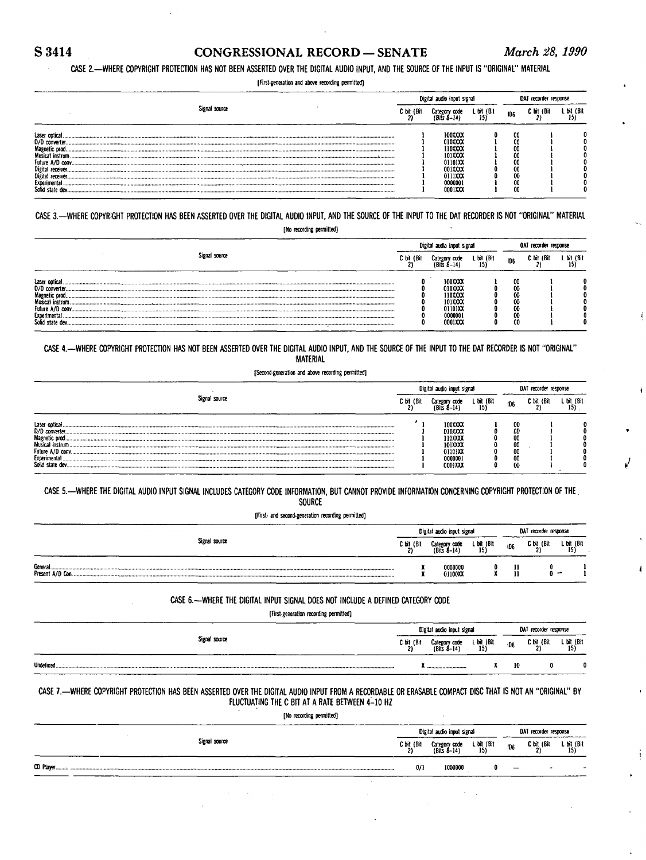# S 3414 CONGRESSIONAL RECORD — SENATE *March 28, 1990*

# **CASE 2.—WHERE COPYRIGHT PROTECTION HAS NOT BEEN ASSERTED OVER THE DIGITAL AUDIO INPUT, AND THE SOURCE OF THE INPUT IS "ORIGINAL" MATERIAL**

**[First-generation and above recording permitted]** 

|                                                                                                            |            | Digital audio input signal                                                                  |                  |                                              | DAT recorder response |                   |  |  |  |
|------------------------------------------------------------------------------------------------------------|------------|---------------------------------------------------------------------------------------------|------------------|----------------------------------------------|-----------------------|-------------------|--|--|--|
| Signal source                                                                                              | C bit (Bit | Category code<br><b>IRifs A-14)</b>                                                         | L bit (Bit<br>15 | ID6                                          | C bit (Bit            | L bit (Bit<br>15) |  |  |  |
| Laser optical<br>D/D converter.<br>Magnetic prod.<br>Future A/D conv.<br>Digital receiver.<br>Experimental |            | <b>100XXXX</b><br>010XXXX<br>110XXXX<br>101XXXX<br>01101XX<br>001XXXX<br>0111XXX<br>0000001 |                  | 00<br>00<br>00<br>00<br>00<br>00<br>00<br>00 |                       |                   |  |  |  |
| Solid state dev.                                                                                           |            | 0001XXX                                                                                     |                  | 00                                           |                       |                   |  |  |  |

**CASE 3.-WHER E COPYRIGHT PROTECTION HAS BEEN ASSERTED OVER THE DIGITAL AUDIO INPUT, AND THE SOURCE OF THE INPUT TO THE DAT RECORDER IS NOT "ORIGINAL" MATERIAL [No recording permitted]** 

|                                                                      |            | Digital audio input signal                                               | OAT recorder response |                                        |            |                  |
|----------------------------------------------------------------------|------------|--------------------------------------------------------------------------|-----------------------|----------------------------------------|------------|------------------|
| Signal source                                                        | C bit (Bit | Category code<br>(Rifs Ŕ–14)                                             | L bit (Bit<br>15)     | ID <sub>6</sub>                        | C bit (Bit | L bit (Bit<br>15 |
| Laser cotical<br>Musical instrum<br>Experimental<br>Solid state dev. |            | 100XXXX<br>010XXX<br>110XXXX<br>101XXXX<br>01101XX<br>0000001<br>0001XXX |                       | 00<br>00<br>00<br>00<br>00<br>00<br>00 |            |                  |

**CASE 4.—WHERE COPYRIGHT PROTECTION HAS NOT BEEN ASSERTED OVER THE DIGITAL AUDIO INPUT, AND THE SOURCE OF THE INPUT TO THE DAT RECORDER IS NOT "ORIGINAL" MATERIAL** 

**[Second-generation and above recording permitted]** 

|                                                                                                                                                                                                                                                                                                                                           |            | Digital audio input signal                                                      | DAT recorder response |                                        |            |                   |
|-------------------------------------------------------------------------------------------------------------------------------------------------------------------------------------------------------------------------------------------------------------------------------------------------------------------------------------------|------------|---------------------------------------------------------------------------------|-----------------------|----------------------------------------|------------|-------------------|
| Signal source                                                                                                                                                                                                                                                                                                                             | C bit (Bit | Category code<br>$(Ri)$ s $A-14$                                                | L bit (Bit<br>15)     | ID <sub>6</sub>                        | C bit (Bit | L bit (Bit<br>15) |
| Laser optical<br>D/D converter.<br>Magnetic prod<br>Musical instrum<br>Future A/D convictions and construction construction construction construction construction construction construction construction construction construction construction construction construction of the A/D conversion cons<br>Experimental.<br>Solid state dev |            | 100XXXX<br><b>D10XXX</b><br>110XXXX<br>101XXXX<br>01101XX<br>0000001<br>0001XXX |                       | 00<br>OD<br>00<br>00<br>00<br>00<br>00 |            |                   |

CASE 5.-WHERE THE DIGITAL AUDIO INPUT SIGNAL INCLUDES CATEGORY CODE INFORMATION, BUT CANNOT PROVIDE INFORMATION CONCERNING COPYRIGHT PROTECTION OF THE **SOURCE** 

**[First- and second-generation recording permitted]** 

|                              | Digital audio input signal |                              |                   |                 | DAT recorder response |                   |  |  |
|------------------------------|----------------------------|------------------------------|-------------------|-----------------|-----------------------|-------------------|--|--|
| Signal source                | C bit (Bi                  | Category code<br>(Bits 8-14) | L bit (Bit<br>15) | ID <sub>5</sub> | C bit (Bit            | L bit (Bit<br>15) |  |  |
| General.<br>Present A/D Con. |                            | 0000000<br>01100XX           |                   |                 |                       |                   |  |  |

**CASE 6.—WHERE THE DIGITAL INPUT SIGNAL DOES NOT INCLUDE A DEFINED CATEGORY CODE** 

**[First-generation recording permitted]** 

| ____          |            | Digital audio input signal   | DAT recorder response |     |            |                   |
|---------------|------------|------------------------------|-----------------------|-----|------------|-------------------|
| Signal source | C bit (Bit | Category code<br>(Bits 8–14) | L bit (Bit<br>15)     | 106 | C bit (Bit | L bit (Bit<br>15) |
|               | ____       | <b>TT </b>                   |                       | 10  |            |                   |

**CASE 7.-WHER E COPYRIGHT PROTECTION HAS BEEN ASSERTED OVER THE DIGITAL AUDIO INPUT FROM A RECORDABLE OR ERASABLE COMPACT DISC THAT IS NOT AN "ORIGINAL" BY**  FLUCTUATING THE C BIT AT A RATE BETWEEN 4-10 HZ

**[Do recording permitted]** 

|               | Digital audio input signal |                              |                   |            |                       | DAT recorder response |
|---------------|----------------------------|------------------------------|-------------------|------------|-----------------------|-----------------------|
| Signal source | $C \text{ bit } (Bit$      | Category code<br>(Bits 8–14) | L bit (Bit<br>15) | <b>ID6</b> | $C \text{ bit } (Bit$ | L bit (Bit<br>15)     |
| CD Player     | 0/1                        | 1000000                      |                   | -          | $\overline{ }$        |                       |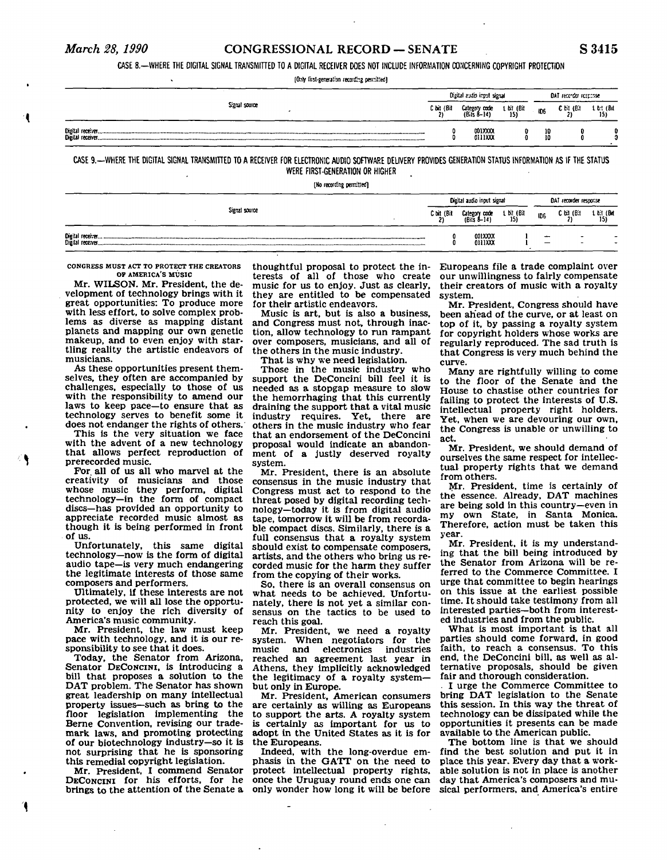# *March 28, 1990* CONGRESSIONAL RECORD — SENATE S 3415

**CASE 8.—WHERE THE DIGITAL SIGNAL TRANSMITTED TO A DIGITAL RECEIVER DOES NOT INCLUDE INFORMATION CONCERNING COPYRIGHT PROTECTION** 

**[Only first-generation reco:i&g perritted)** 

|                  |            | Digital audio input signal   |                   | DAT recorder response |            |         |  |
|------------------|------------|------------------------------|-------------------|-----------------------|------------|---------|--|
| Signal source    | C bit (Bit | Category code<br>(Bits 8–14) | 1 bit (Bit $15$ ) |                       | C bit (Bit | 151 (B) |  |
| Digital receiver |            | 00173000<br>0111XXX          |                   | 10<br>1ň              | 0          |         |  |

**CASE 9.-WHER E THE DIGITAL SIGNAL TRANSMITTED TO A RECEIVER FOR ELECTRONIC AUDIO SOFTWARE DELIVERY PROVIDES GENERATION STATUS INFORMATION AS IF THE STATUS WERE FIRST-GENERATION OR HIGHER** 

**[No recording permitted)** 

|                                        | Digital audio input signal |                              |                    |                 | DAT recorder response                                |                            |  |  |
|----------------------------------------|----------------------------|------------------------------|--------------------|-----------------|------------------------------------------------------|----------------------------|--|--|
| Signal source                          | C bit <sub>2</sub> (Bit    | Category code<br>(Bits 8-14) | 1. bit (Bit<br>15) | ID <sub>5</sub> | C bit (Bit                                           | $\frac{1 \text{ bit}}{15}$ |  |  |
| Digital receiver.<br>Digital receiver. |                            | 001XXXX<br>0111XXX           |                    | -               | $\overline{\phantom{0}}$<br>$\overline{\phantom{0}}$ | $\overline{\phantom{0}}$   |  |  |

**CONGRESS MUST ACT TO PROTECT THE CREATORS OF AMERICA'S MUSIC** 

Mr. WILSON. Mr. President, the development of technology brings with it great opportunities: To produce more with less effort, to solve complex problems as diverse as mapping distant planets and mapping our own genetic makeup, and to even enjoy with startling reality the artistic endeavors of musicians.

As these opportunities present themselves, they often are accompanied by challenges, especially to those of us with the responsibility to amend our laws to keep pace—to ensure that as technology serves to benefit some it does not endanger the rights of others.

This is the very situation we face with the advent of a new technology that allows perfect reproduction of prerecorded music.

For all of us all who marvel at the creativity of musicians and those whose music they perform, digital technology—in the form of compact discs—has provided an opportunity to appreciate recorded music almost as though it is being performed in front of us.

Unfortunately, this same digital technology—now is the form of digital audio tape—is very much endangering the legitimate interests of those same composers and performers.

Ultimately, if these interests are not protected, we will all lose the opportunity to enjoy the rich diversity of America's music community.

Mr. President, the law must keep pace with technology, and it is our responsibility to see that it does.

Today, the Senator from Arizona, Senator DECONCINI, is introducing a bill that proposes a solution to the DAT problem. The Senator has shown great leadership on many intellectual property issues—such as bring to the floor legislation implementing the Berne Convention, revising our trademark laws, and promoting protecting of our biotechnology industry—so it is not surprising that he is sponsoring this remedial copyright legislation.

Mr. President, I commend Senator DECONCINI for his efforts, for he brings to the attention of the Senate a

terests of all of those who create music for us to enjoy. Just as clearly, they are entitled to be compensated for their artistic endeavors.

Music is art, but is also a business, and Congress must not, through inaction, allow technology to run rampant over composers, musicians, and all of the others in the music industry.

That is why we need legislation.

Those in the music industry who support the DeConcini bill feel it is needed as a stopgap measure to slow the hemorrhaging that this currently draining the support that a vital music industry requires. Yet, there are others in the music industry who fear that an endorsement of the DeConcini proposal would indicate an abandonment of a justly deserved royalty system.

Mr. President, there is an absolute consensus in the music industry that Congress must act to respond to the threat posed by digital recording technology—today it is from digital audio tape, tomorrow it will be from recordable compact discs. Similarly, there is a full consensus that a royalty system should exist to compensate composers, artists, and the others who bring us recorded music for the harm they suffer from the copying of their works.

So, there is an overall consensus on what needs to be achieved. Unfortunately, there is not yet a similar consensus on the tactics to be used to reach this goal.

Mr. President, we need a royalty system. When negotiators for the<br>music and electronics industries and electronics reached an agreement last year in Athens, they implicitly acknowledged the legitimacy of a royalty system but only in Europe.

Mr. President, American consumers are certainly as willing as Europeans to support the arts. A royalty system is certainly as important for us to adopt in the United States as it is for the Europeans.

Indeed, with the long-overdue emphasis in the GATT on the need to protect intellectual property rights, once the Uruguay round ends one can

thoughtful proposal to protect the in-Europeans file a trade complaint over our unwillingness to fairly compensate their creators of music with a royalty system.

Mr. President, Congress should have been ahead of the curve, or at least on top of it, by passing a royalty system for copyright holders whose works are regularly reproduced. The sad truth is that Congress is very much behind the curve.

Many are rightfully willing to come to the floor of the Senate and the House to chastise other countries for failing to protect the interests of U.S. intellectual property right holders. Yet, when we are devouring our own, the Congress is unable or unwilling to act.

Mr. President, we should demand of ourselves the same respect for intellectual property rights that we demand from others.

Mr. President, time is certainly of the essence. Already, DAT machines are being sold in this country—even in my own State, in Santa Monica. Therefore, action must be taken this year.

Mr. President, it is my understanding that the bill being introduced by the Senator from Arizona will be referred to the Commerce Committee. I urge that committee to begin hearings on this issue at the earliest possible time. It should take testimony from all interested parties—both from interested industries and from the public.

What is most important is that all parties should come forward, in good faith, to reach a consensus. To this end, the DeConcini bill, as well as alternative proposals, should be given fair and thorough consideration.

. I urge the Commerce Committee to bring DAT legislation to the Senate this session. In this way the threat of technology can be dissipated while the opportunities it presents can be made available to the American public.

only wonder how long it will be before sical performers, and America's entire The bottom line is that we should find the best solution and put it in place this year. Every day that a workable solution is not in place is another day that America's composers and mu